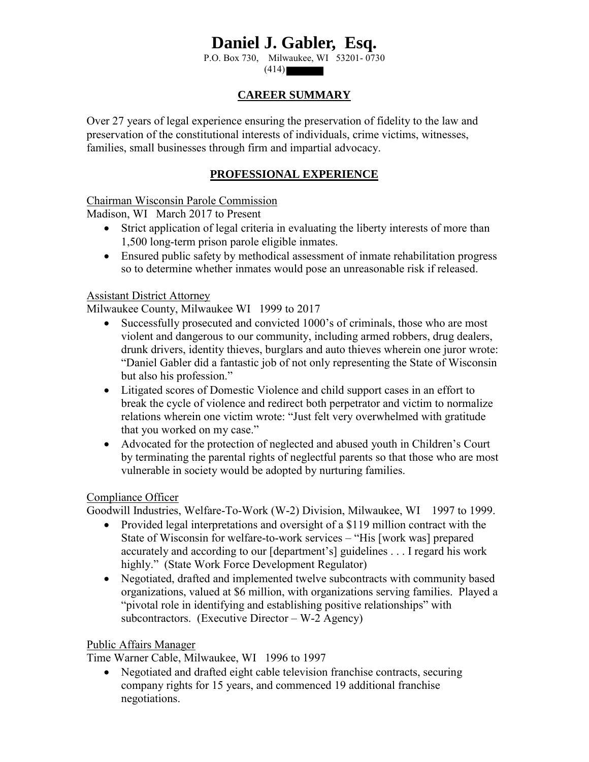# **Daniel J. Gabler, Esq.**

P.O. Box 730, Milwaukee, WI 53201- 0730

 $(414)$ 

## **CAREER SUMMARY**

Over 27 years of legal experience ensuring the preservation of fidelity to the law and preservation of the constitutional interests of individuals, crime victims, witnesses, families, small businesses through firm and impartial advocacy.

# **PROFESSIONAL EXPERIENCE**

Chairman Wisconsin Parole Commission

Madison, WI March 2017 to Present

- Strict application of legal criteria in evaluating the liberty interests of more than 1,500 long-term prison parole eligible inmates.
- Ensured public safety by methodical assessment of inmate rehabilitation progress so to determine whether inmates would pose an unreasonable risk if released.

#### Assistant District Attorney

Milwaukee County, Milwaukee WI 1999 to 2017

- Successfully prosecuted and convicted 1000's of criminals, those who are most violent and dangerous to our community, including armed robbers, drug dealers, drunk drivers, identity thieves, burglars and auto thieves wherein one juror wrote: "Daniel Gabler did a fantastic job of not only representing the State of Wisconsin but also his profession."
- Litigated scores of Domestic Violence and child support cases in an effort to break the cycle of violence and redirect both perpetrator and victim to normalize relations wherein one victim wrote: "Just felt very overwhelmed with gratitude that you worked on my case."
- Advocated for the protection of neglected and abused youth in Children's Court by terminating the parental rights of neglectful parents so that those who are most vulnerable in society would be adopted by nurturing families.

#### Compliance Officer

Goodwill Industries, Welfare-To-Work (W-2) Division, Milwaukee, WI 1997 to 1999.

- Provided legal interpretations and oversight of a \$119 million contract with the State of Wisconsin for welfare-to-work services – "His [work was] prepared accurately and according to our [department's] guidelines . . . I regard his work highly." (State Work Force Development Regulator)
- Negotiated, drafted and implemented twelve subcontracts with community based organizations, valued at \$6 million, with organizations serving families. Played a "pivotal role in identifying and establishing positive relationships" with subcontractors. (Executive Director – W-2 Agency)

#### Public Affairs Manager

Time Warner Cable, Milwaukee, WI 1996 to 1997

• Negotiated and drafted eight cable television franchise contracts, securing company rights for 15 years, and commenced 19 additional franchise negotiations.